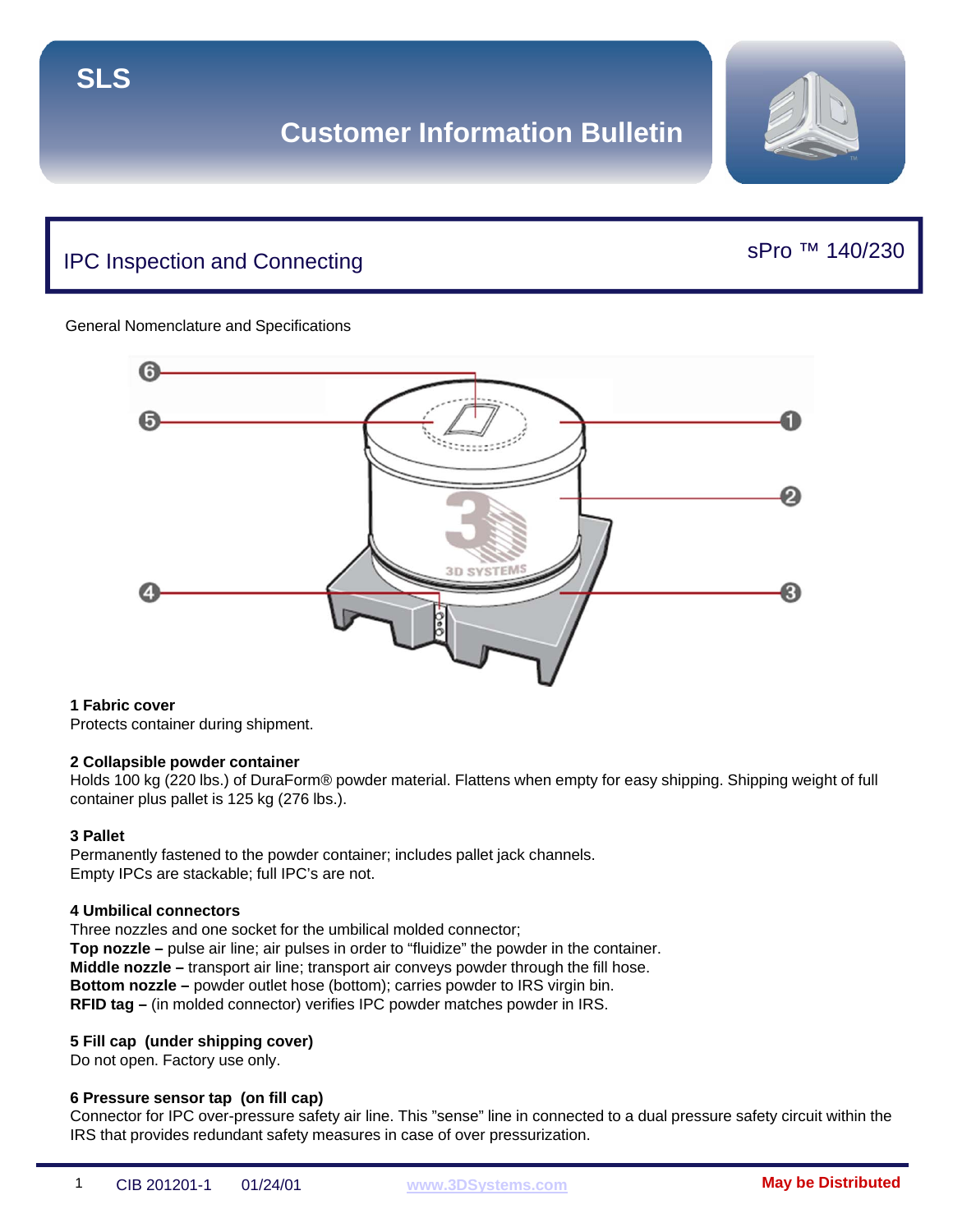# IPC Inspection and Connecting

## sPro ™ 140/230

#### General Nomenclature and Specifications



#### **1 Fabric cover**

Protects container during shipment.

#### **2 Collapsible powder container**

Holds 100 kg (220 lbs.) of DuraForm® powder material. Flattens when empty for easy shipping. Shipping weight of full container plus pallet is 125 kg (276 lbs.).

#### **3 Pallet**

Permanently fastened to the powder container; includes pallet jack channels. Empty IPCs are stackable; full IPC's are not.

#### **4 Umbilical connectors**

Three nozzles and one socket for the umbilical molded connector; **Top nozzle –** pulse air line; air pulses in order to "fluidize" the powder in the container. **Middle nozzle –** transport air line; transport air conveys powder through the fill hose. **Bottom nozzle –** powder outlet hose (bottom); carries powder to IRS virgin bin. **RFID tag –** (in molded connector) verifies IPC powder matches powder in IRS.

### **5 Fill cap (under shipping cover)**

Do not open. Factory use only.

### **6 Pressure sensor tap (on fill cap)**

Connector for IPC over-pressure safety air line. This "sense" line in connected to a dual pressure safety circuit within the IRS that provides redundant safety measures in case of over pressurization.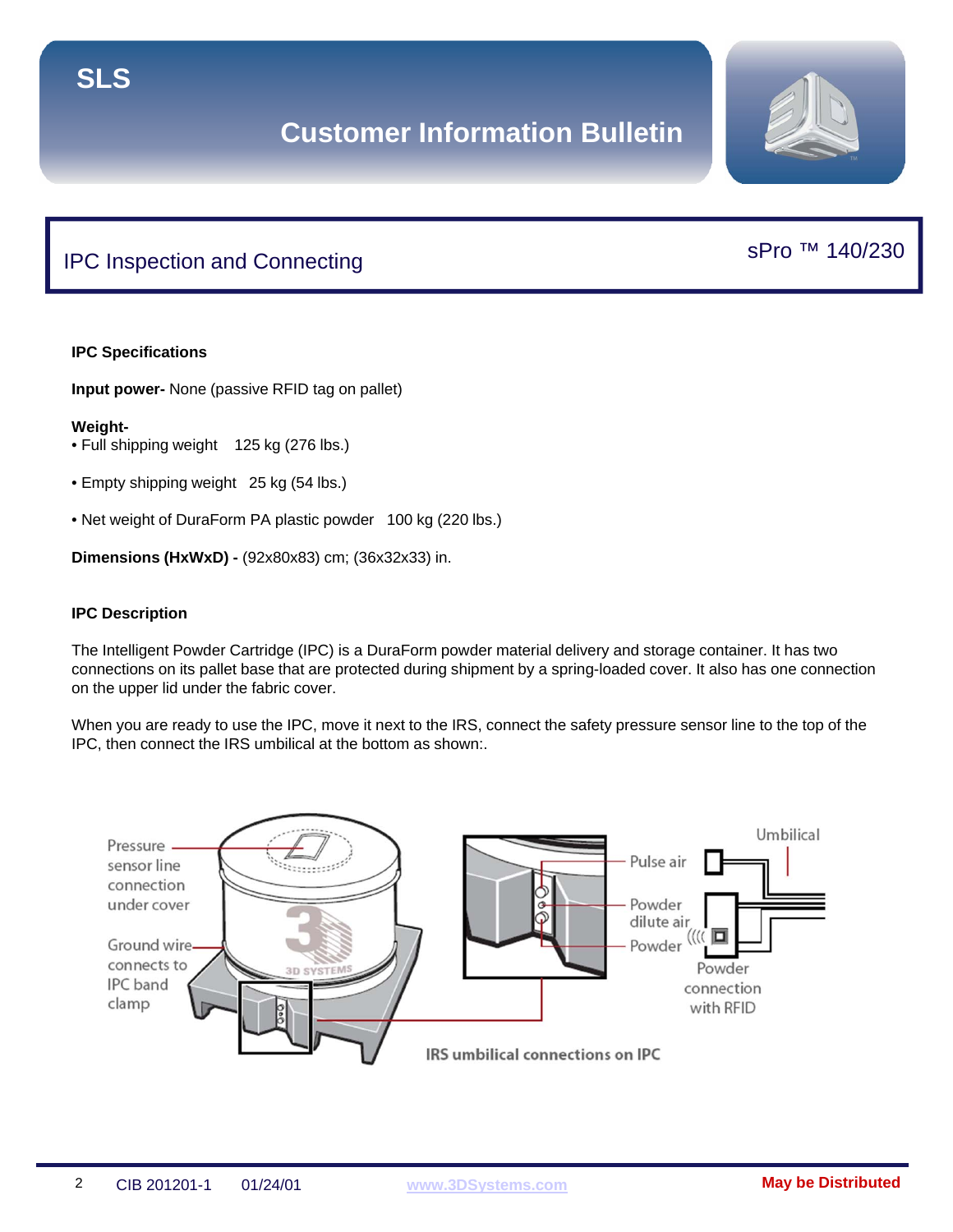# IPC Inspection and Connecting

## **IPC Specifications**

**Input power-** None (passive RFID tag on pallet)

#### **Weight-**

- Full shipping weight 125 kg (276 lbs.)
- Empty shipping weight 25 kg (54 lbs.)
- Net weight of DuraForm PA plastic powder 100 kg (220 lbs.)

**Dimensions (HxWxD) -** (92x80x83) cm; (36x32x33) in.

#### **IPC Description**

The Intelligent Powder Cartridge (IPC) is a DuraForm powder material delivery and storage container. It has two connections on its pallet base that are protected during shipment by a spring-loaded cover. It also has one connection on the upper lid under the fabric cover.

When you are ready to use the IPC, move it next to the IRS, connect the safety pressure sensor line to the top of the IPC, then connect the IRS umbilical at the bottom as shown:.





## sPro ™ 140/230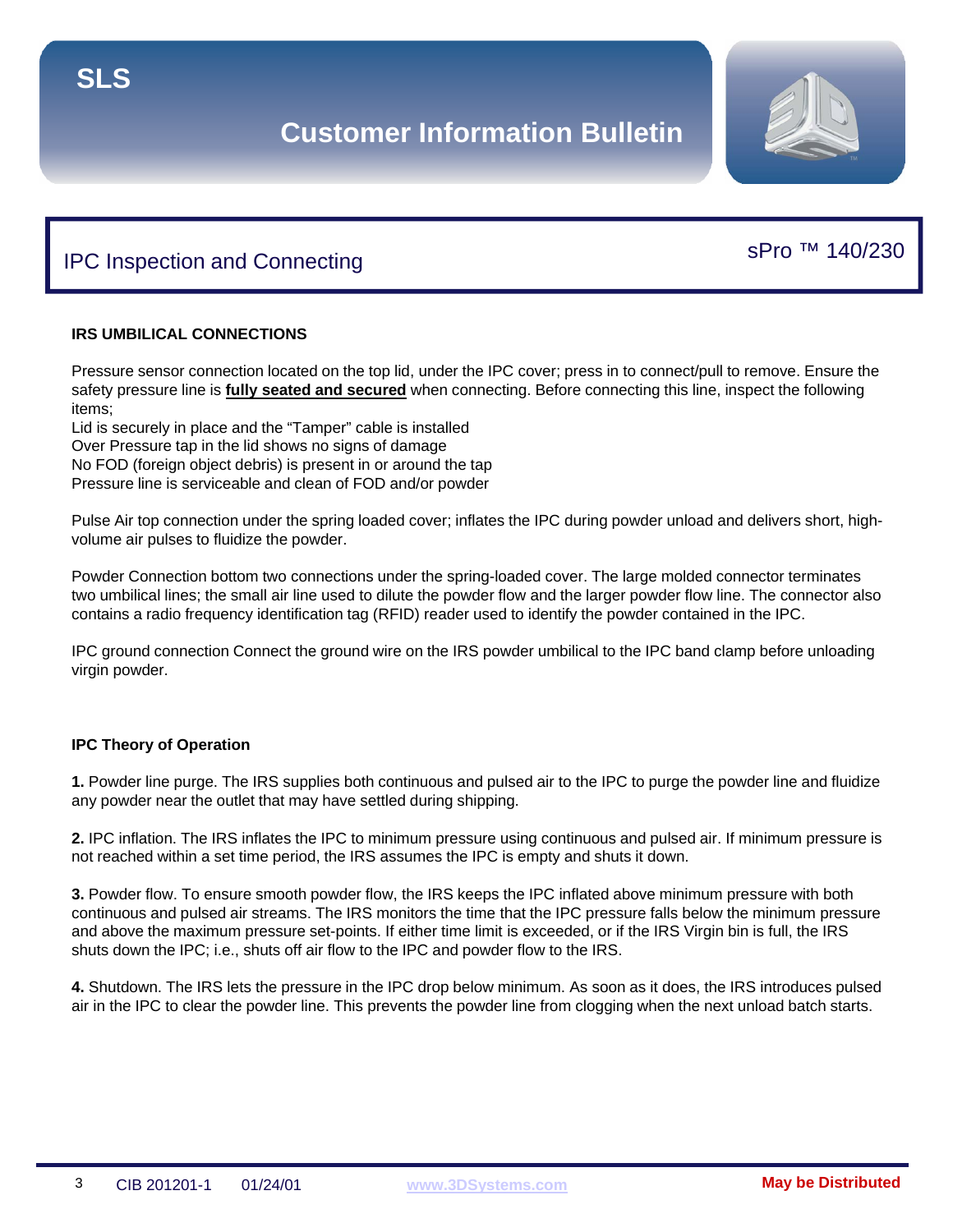

sPro ™ 140/230

# IPC Inspection and Connecting

## **IRS UMBILICAL CONNECTIONS**

Pressure sensor connection located on the top lid, under the IPC cover; press in to connect/pull to remove. Ensure the safety pressure line is **fully seated and secured** when connecting. Before connecting this line, inspect the following items;

Lid is securely in place and the "Tamper" cable is installed Over Pressure tap in the lid shows no signs of damage No FOD (foreign object debris) is present in or around the tap Pressure line is serviceable and clean of FOD and/or powder

Pulse Air top connection under the spring loaded cover; inflates the IPC during powder unload and delivers short, highvolume air pulses to fluidize the powder.

Powder Connection bottom two connections under the spring-loaded cover. The large molded connector terminates two umbilical lines; the small air line used to dilute the powder flow and the larger powder flow line. The connector also contains a radio frequency identification tag (RFID) reader used to identify the powder contained in the IPC.

IPC ground connection Connect the ground wire on the IRS powder umbilical to the IPC band clamp before unloading virgin powder.

## **IPC Theory of Operation**

**1.** Powder line purge. The IRS supplies both continuous and pulsed air to the IPC to purge the powder line and fluidize any powder near the outlet that may have settled during shipping.

**2.** IPC inflation. The IRS inflates the IPC to minimum pressure using continuous and pulsed air. If minimum pressure is not reached within a set time period, the IRS assumes the IPC is empty and shuts it down.

**3.** Powder flow. To ensure smooth powder flow, the IRS keeps the IPC inflated above minimum pressure with both continuous and pulsed air streams. The IRS monitors the time that the IPC pressure falls below the minimum pressure and above the maximum pressure set-points. If either time limit is exceeded, or if the IRS Virgin bin is full, the IRS shuts down the IPC; i.e., shuts off air flow to the IPC and powder flow to the IRS.

**4.** Shutdown. The IRS lets the pressure in the IPC drop below minimum. As soon as it does, the IRS introduces pulsed air in the IPC to clear the powder line. This prevents the powder line from clogging when the next unload batch starts.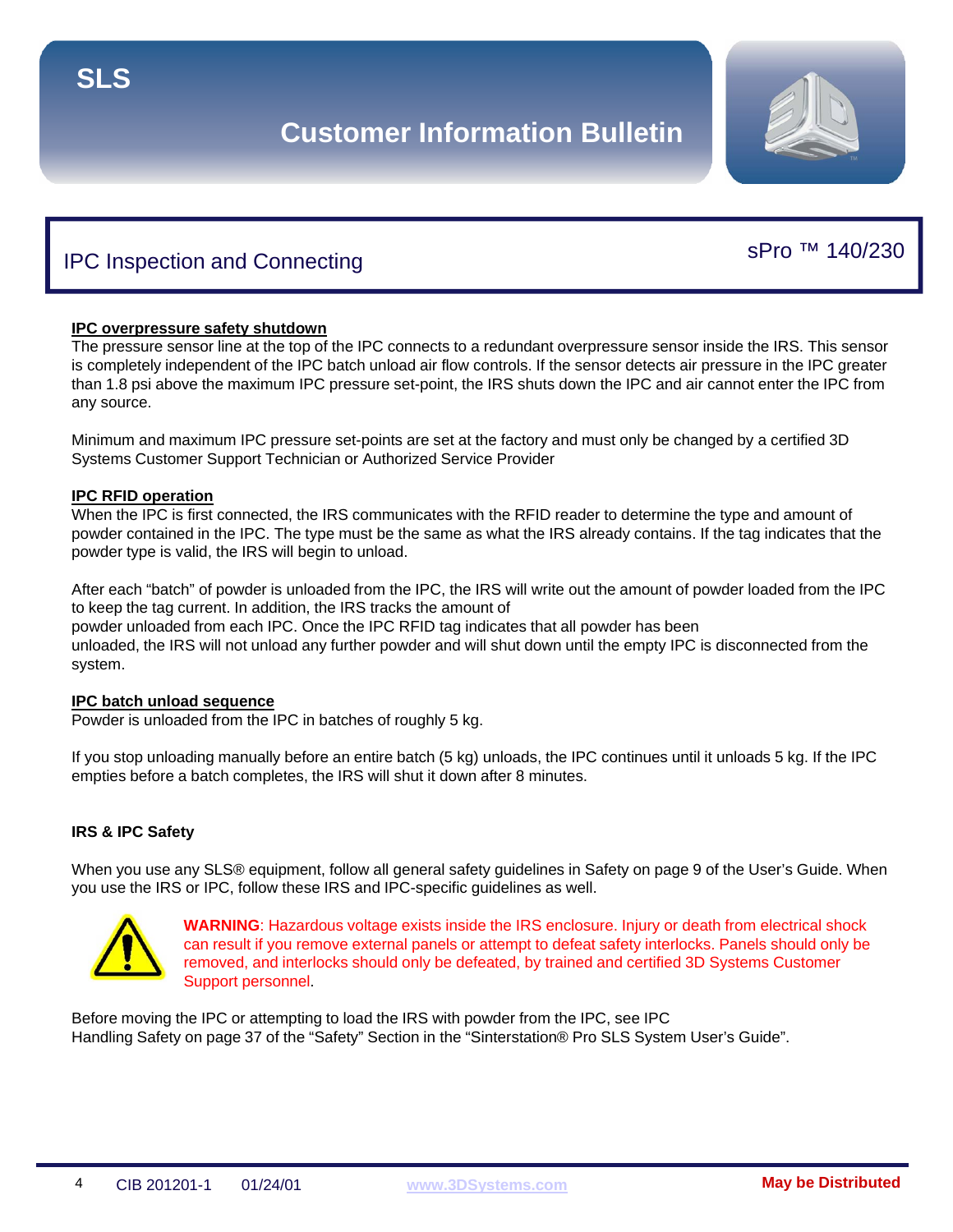

sPro ™ 140/230

## IPC Inspection and Connecting

### **IPC overpressure safety shutdown**

The pressure sensor line at the top of the IPC connects to a redundant overpressure sensor inside the IRS. This sensor is completely independent of the IPC batch unload air flow controls. If the sensor detects air pressure in the IPC greater than 1.8 psi above the maximum IPC pressure set-point, the IRS shuts down the IPC and air cannot enter the IPC from any source.

Minimum and maximum IPC pressure set-points are set at the factory and must only be changed by a certified 3D Systems Customer Support Technician or Authorized Service Provider

#### **IPC RFID operation**

When the IPC is first connected, the IRS communicates with the RFID reader to determine the type and amount of powder contained in the IPC. The type must be the same as what the IRS already contains. If the tag indicates that the powder type is valid, the IRS will begin to unload.

After each "batch" of powder is unloaded from the IPC, the IRS will write out the amount of powder loaded from the IPC to keep the tag current. In addition, the IRS tracks the amount of

powder unloaded from each IPC. Once the IPC RFID tag indicates that all powder has been unloaded, the IRS will not unload any further powder and will shut down until the empty IPC is disconnected from the system.

### **IPC batch unload sequence**

Powder is unloaded from the IPC in batches of roughly 5 kg.

If you stop unloading manually before an entire batch (5 kg) unloads, the IPC continues until it unloads 5 kg. If the IPC empties before a batch completes, the IRS will shut it down after 8 minutes.

#### **IRS & IPC Safety**

When you use any SLS® equipment, follow all general safety guidelines in Safety on page 9 of the User's Guide. When you use the IRS or IPC, follow these IRS and IPC-specific guidelines as well.



**WARNING**: Hazardous voltage exists inside the IRS enclosure. Injury or death from electrical shock can result if you remove external panels or attempt to defeat safety interlocks. Panels should only be removed, and interlocks should only be defeated, by trained and certified 3D Systems Customer Support personnel.

Before moving the IPC or attempting to load the IRS with powder from the IPC, see IPC Handling Safety on page 37 of the "Safety" Section in the "Sinterstation® Pro SLS System User's Guide".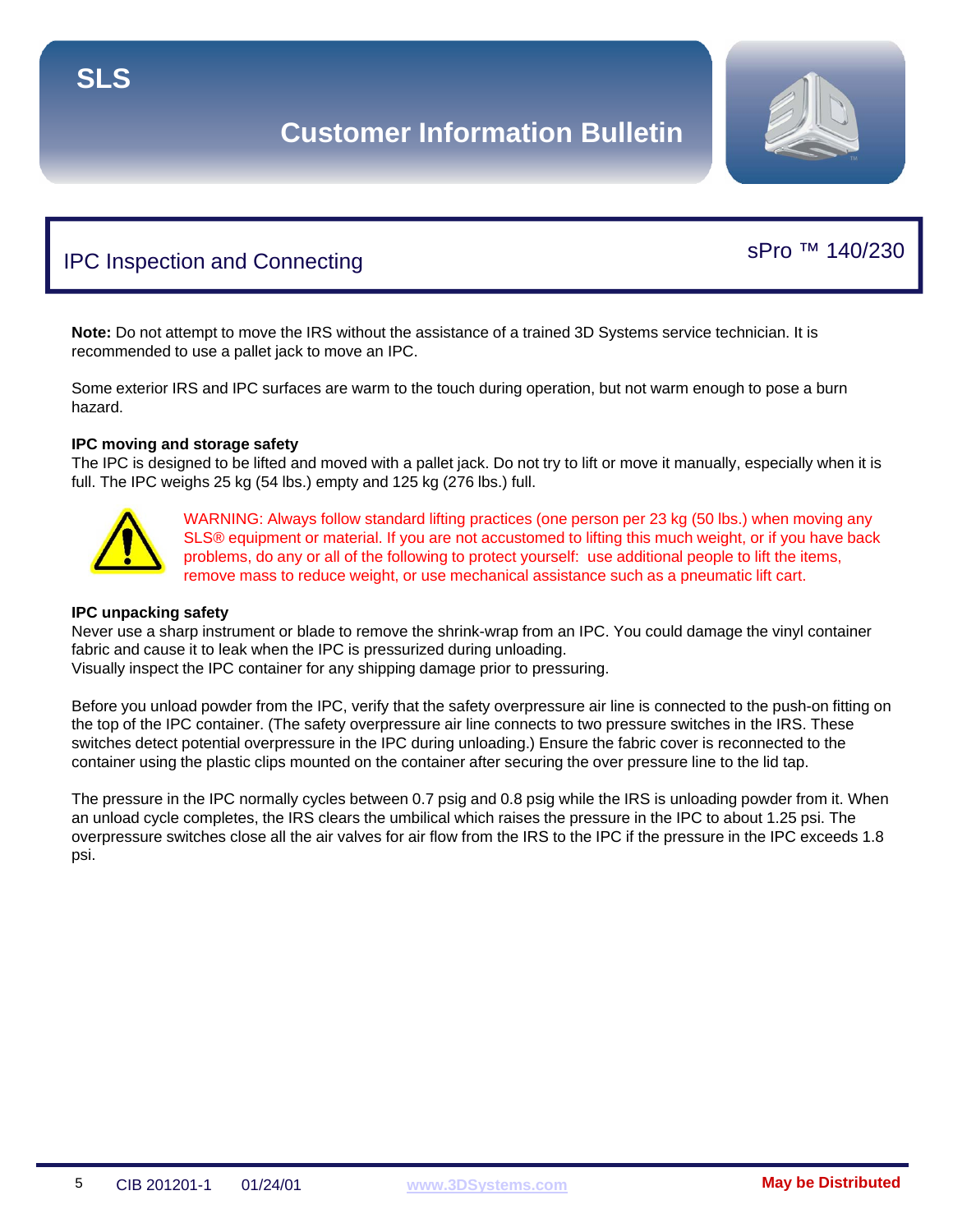

sPro ™ 140/230

# IPC Inspection and Connecting

### **Note:** Do not attempt to move the IRS without the assistance of a trained 3D Systems service technician. It is recommended to use a pallet jack to move an IPC.

Some exterior IRS and IPC surfaces are warm to the touch during operation, but not warm enough to pose a burn hazard.

## **IPC moving and storage safety**

The IPC is designed to be lifted and moved with a pallet jack. Do not try to lift or move it manually, especially when it is full. The IPC weighs 25 kg (54 lbs.) empty and 125 kg (276 lbs.) full.



WARNING: Always follow standard lifting practices (one person per 23 kg (50 lbs.) when moving any SLS® equipment or material. If you are not accustomed to lifting this much weight, or if you have back problems, do any or all of the following to protect yourself: use additional people to lift the items, remove mass to reduce weight, or use mechanical assistance such as a pneumatic lift cart.

#### **IPC unpacking safety**

Never use a sharp instrument or blade to remove the shrink-wrap from an IPC. You could damage the vinyl container fabric and cause it to leak when the IPC is pressurized during unloading. Visually inspect the IPC container for any shipping damage prior to pressuring.

Before you unload powder from the IPC, verify that the safety overpressure air line is connected to the push-on fitting on the top of the IPC container. (The safety overpressure air line connects to two pressure switches in the IRS. These switches detect potential overpressure in the IPC during unloading.) Ensure the fabric cover is reconnected to the container using the plastic clips mounted on the container after securing the over pressure line to the lid tap.

The pressure in the IPC normally cycles between 0.7 psig and 0.8 psig while the IRS is unloading powder from it. When an unload cycle completes, the IRS clears the umbilical which raises the pressure in the IPC to about 1.25 psi. The overpressure switches close all the air valves for air flow from the IRS to the IPC if the pressure in the IPC exceeds 1.8 psi.